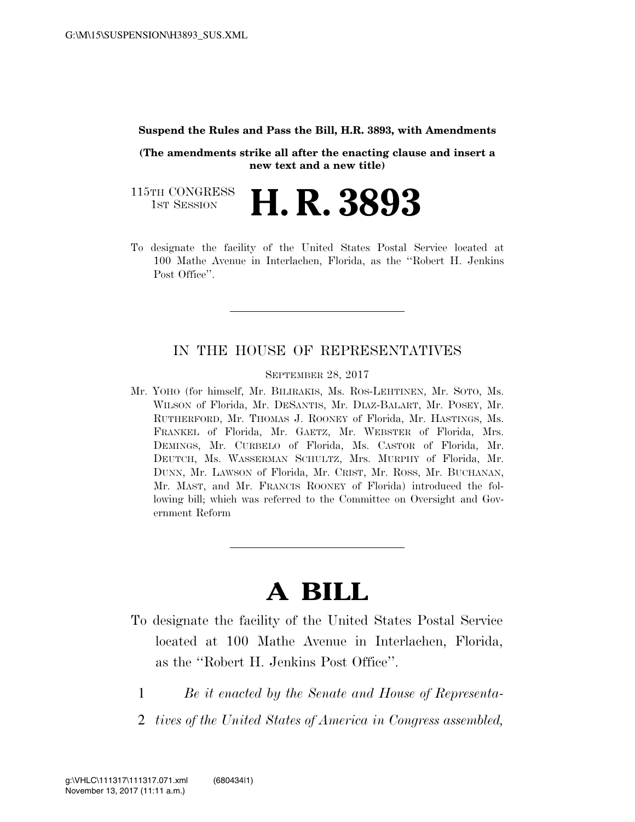## **Suspend the Rules and Pass the Bill, H.R. 3893, with Amendments**

**(The amendments strike all after the enacting clause and insert a new text and a new title)** 

115TH CONGRESS TH CONGRESS **H. R. 3893** 

To designate the facility of the United States Postal Service located at 100 Mathe Avenue in Interlachen, Florida, as the ''Robert H. Jenkins Post Office".

## IN THE HOUSE OF REPRESENTATIVES

SEPTEMBER 28, 2017

Mr. YOHO (for himself, Mr. BILIRAKIS, Ms. ROS-LEHTINEN, Mr. SOTO, Ms. WILSON of Florida, Mr. DESANTIS, Mr. DIAZ-BALART, Mr. POSEY, Mr. RUTHERFORD, Mr. THOMAS J. ROONEY of Florida, Mr. HASTINGS, Ms. FRANKEL of Florida, Mr. GAETZ, Mr. WEBSTER of Florida, Mrs. DEMINGS, Mr. CURBELO of Florida, Ms. CASTOR of Florida, Mr. DEUTCH, Ms. WASSERMAN SCHULTZ, Mrs. MURPHY of Florida, Mr. DUNN, Mr. LAWSON of Florida, Mr. CRIST, Mr. ROSS, Mr. BUCHANAN, Mr. MAST, and Mr. FRANCIS ROONEY of Florida) introduced the following bill; which was referred to the Committee on Oversight and Government Reform

## **A BILL**

- To designate the facility of the United States Postal Service located at 100 Mathe Avenue in Interlachen, Florida, as the ''Robert H. Jenkins Post Office''.
	- 1 *Be it enacted by the Senate and House of Representa-*
	- 2 *tives of the United States of America in Congress assembled,*